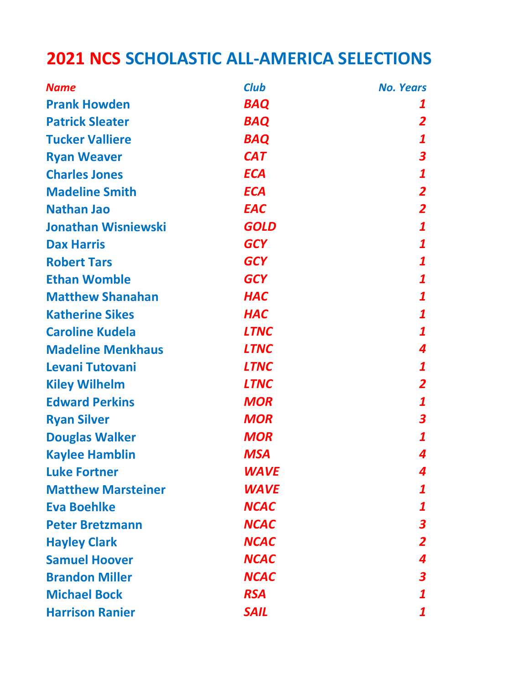## 2021 NCS SCHOLASTIC ALL-AMERICA SELECTIONS

| <b>Name</b>                | <b>Club</b> | <b>No. Years</b>        |
|----------------------------|-------------|-------------------------|
| <b>Prank Howden</b>        | <b>BAQ</b>  | 1                       |
| <b>Patrick Sleater</b>     | <b>BAQ</b>  | 2                       |
| <b>Tucker Valliere</b>     | <b>BAQ</b>  | $\boldsymbol{1}$        |
| <b>Ryan Weaver</b>         | <b>CAT</b>  | $\boldsymbol{3}$        |
| <b>Charles Jones</b>       | <b>ECA</b>  | $\boldsymbol{1}$        |
| <b>Madeline Smith</b>      | <b>ECA</b>  | $\overline{2}$          |
| <b>Nathan Jao</b>          | <b>EAC</b>  | $\overline{2}$          |
| <b>Jonathan Wisniewski</b> | <b>GOLD</b> | $\boldsymbol{1}$        |
| <b>Dax Harris</b>          | <b>GCY</b>  | 1                       |
| <b>Robert Tars</b>         | <b>GCY</b>  | 1                       |
| <b>Ethan Womble</b>        | <b>GCY</b>  | $\boldsymbol{1}$        |
| <b>Matthew Shanahan</b>    | <b>HAC</b>  | 1                       |
| <b>Katherine Sikes</b>     | <b>HAC</b>  | 1                       |
| <b>Caroline Kudela</b>     | <b>LTNC</b> | 1                       |
| <b>Madeline Menkhaus</b>   | <b>LTNC</b> | 4                       |
| Levani Tutovani            | <b>LTNC</b> | 1                       |
| <b>Kiley Wilhelm</b>       | <b>LTNC</b> | $\overline{\mathbf{2}}$ |
| <b>Edward Perkins</b>      | <b>MOR</b>  | 1                       |
| <b>Ryan Silver</b>         | <b>MOR</b>  | $\boldsymbol{3}$        |
| <b>Douglas Walker</b>      | <b>MOR</b>  | $\boldsymbol{1}$        |
| <b>Kaylee Hamblin</b>      | <b>MSA</b>  | 4                       |
| <b>Luke Fortner</b>        | WAVE        | 4                       |
| <b>Matthew Marsteiner</b>  | <b>WAVE</b> | 1                       |
| <b>Eva Boehlke</b>         | <b>NCAC</b> | 1                       |
| <b>Peter Bretzmann</b>     | <b>NCAC</b> | $\boldsymbol{3}$        |
| <b>Hayley Clark</b>        | <b>NCAC</b> | 2                       |
| <b>Samuel Hoover</b>       | <b>NCAC</b> | 4                       |
| <b>Brandon Miller</b>      | <b>NCAC</b> | 3                       |
| <b>Michael Bock</b>        | <b>RSA</b>  | 1                       |
| <b>Harrison Ranier</b>     | <b>SAIL</b> | 1                       |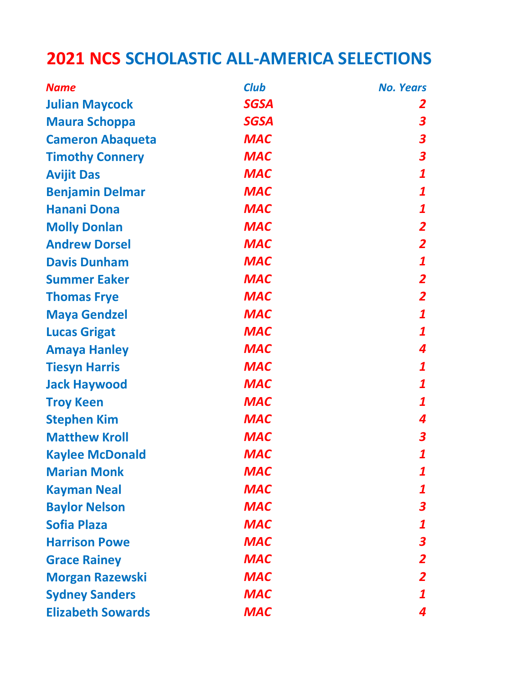## 2021 NCS SCHOLASTIC ALL-AMERICA SELECTIONS

| <b>Name</b>              | <b>Club</b> | <b>No. Years</b>        |
|--------------------------|-------------|-------------------------|
| <b>Julian Maycock</b>    | <b>SGSA</b> | 2                       |
| <b>Maura Schoppa</b>     | <b>SGSA</b> | 3                       |
| <b>Cameron Abaqueta</b>  | <b>MAC</b>  | 3                       |
| <b>Timothy Connery</b>   | <b>MAC</b>  | $\boldsymbol{3}$        |
| <b>Avijit Das</b>        | <b>MAC</b>  | $\boldsymbol{1}$        |
| <b>Benjamin Delmar</b>   | <b>MAC</b>  | $\mathbf{1}$            |
| <b>Hanani Dona</b>       | <b>MAC</b>  | 1                       |
| <b>Molly Donlan</b>      | <b>MAC</b>  | $\overline{2}$          |
| <b>Andrew Dorsel</b>     | <b>MAC</b>  | $\overline{2}$          |
| <b>Davis Dunham</b>      | <b>MAC</b>  | $\boldsymbol{1}$        |
| <b>Summer Eaker</b>      | <b>MAC</b>  | $\overline{\mathbf{2}}$ |
| <b>Thomas Frye</b>       | <b>MAC</b>  | $\overline{\mathbf{2}}$ |
| <b>Maya Gendzel</b>      | <b>MAC</b>  | 1                       |
| <b>Lucas Grigat</b>      | <b>MAC</b>  | $\mathbf{1}$            |
| <b>Amaya Hanley</b>      | <b>MAC</b>  | 4                       |
| <b>Tiesyn Harris</b>     | <b>MAC</b>  | 1                       |
| <b>Jack Haywood</b>      | <b>MAC</b>  | $\boldsymbol{1}$        |
| <b>Troy Keen</b>         | <b>MAC</b>  | $\boldsymbol{1}$        |
| <b>Stephen Kim</b>       | <b>MAC</b>  | 4                       |
| <b>Matthew Kroll</b>     | <b>MAC</b>  | 3                       |
| <b>Kaylee McDonald</b>   | <b>MAC</b>  | 1                       |
| <b>Marian Monk</b>       | <b>MAC</b>  | 1                       |
| <b>Kayman Neal</b>       | <b>MAC</b>  | 1                       |
| <b>Baylor Nelson</b>     | <b>MAC</b>  | 3                       |
| <b>Sofia Plaza</b>       | <b>MAC</b>  | 1                       |
| <b>Harrison Powe</b>     | <b>MAC</b>  | $\boldsymbol{3}$        |
| <b>Grace Rainey</b>      | <b>MAC</b>  | $\overline{\mathbf{2}}$ |
| <b>Morgan Razewski</b>   | <b>MAC</b>  | $\overline{2}$          |
| <b>Sydney Sanders</b>    | <b>MAC</b>  | 1                       |
| <b>Elizabeth Sowards</b> | <b>MAC</b>  | 4                       |